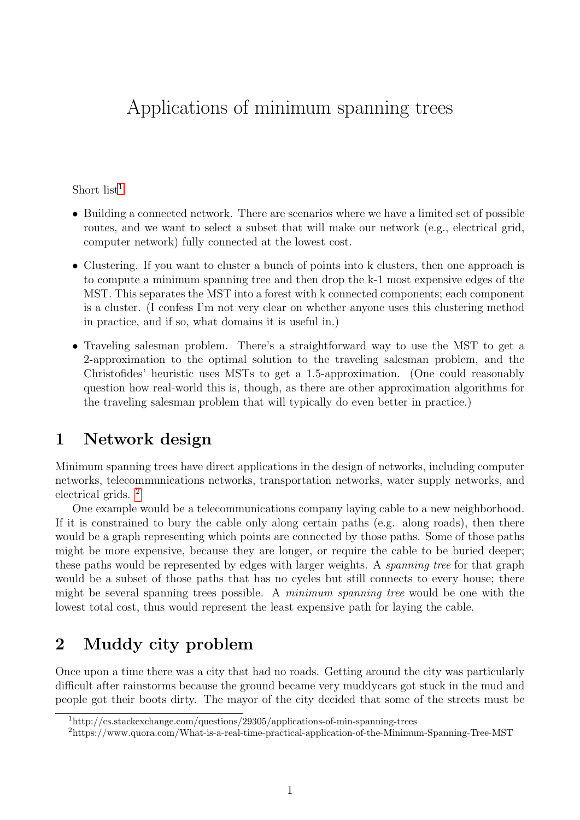## Applications of minimum spanning trees

Short list $<sup>1</sup>$  $<sup>1</sup>$  $<sup>1</sup>$ </sup>

- Building a connected network. There are scenarios where we have a limited set of possible routes, and we want to select a subset that will make our network (e.g., electrical grid, computer network) fully connected at the lowest cost.
- Clustering. If you want to cluster a bunch of points into k clusters, then one approach is to compute a minimum spanning tree and then drop the k-1 most expensive edges of the MST. This separates the MST into a forest with k connected components; each component is a cluster. (I confess I'm not very clear on whether anyone uses this clustering method in practice, and if so, what domains it is useful in.)
- Traveling salesman problem. There's a straightforward way to use the MST to get a 2-approximation to the optimal solution to the traveling salesman problem, and the Christofides' heuristic uses MSTs to get a 1.5-approximation. (One could reasonably question how real-world this is, though, as there are other approximation algorithms for the traveling salesman problem that will typically do even better in practice.)

## 1 Network design

Minimum spanning trees have direct applications in the design of networks, including computer networks, telecommunications networks, transportation networks, water supply networks, and electrical grids. [2](#page-0-1)

One example would be a telecommunications company laying cable to a new neighborhood. If it is constrained to bury the cable only along certain paths (e.g. along roads), then there would be a graph representing which points are connected by those paths. Some of those paths might be more expensive, because they are longer, or require the cable to be buried deeper; these paths would be represented by edges with larger weights. A spanning tree for that graph would be a subset of those paths that has no cycles but still connects to every house; there might be several spanning trees possible. A minimum spanning tree would be one with the lowest total cost, thus would represent the least expensive path for laying the cable.

## 2 Muddy city problem

Once upon a time there was a city that had no roads. Getting around the city was particularly difficult after rainstorms because the ground became very muddycars got stuck in the mud and people got their boots dirty. The mayor of the city decided that some of the streets must be

<span id="page-0-0"></span><sup>1</sup>http://cs.stackexchange.com/questions/29305/applications-of-min-spanning-trees

<span id="page-0-1"></span><sup>2</sup>https://www.quora.com/What-is-a-real-time-practical-application-of-the-Minimum-Spanning-Tree-MST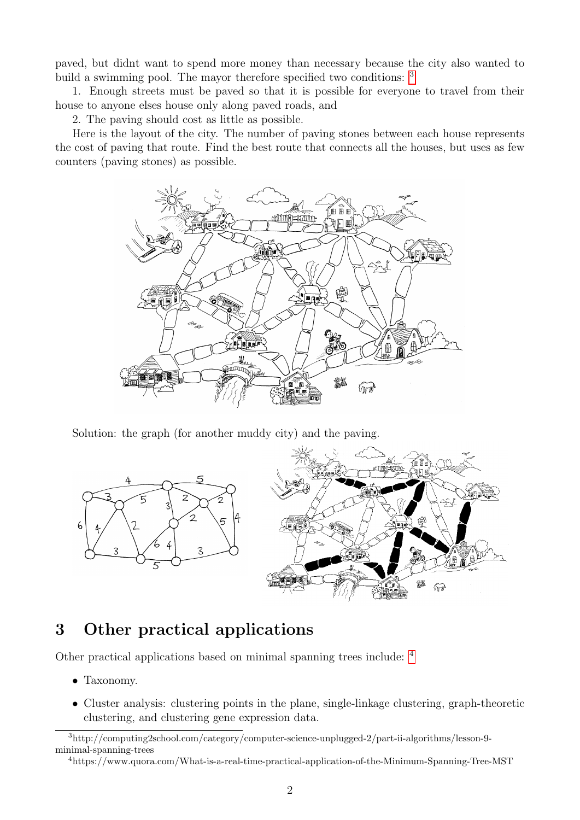paved, but didnt want to spend more money than necessary because the city also wanted to build a swimming pool. The mayor therefore specified two conditions: <sup>[3](#page-1-0)</sup>

1. Enough streets must be paved so that it is possible for everyone to travel from their house to anyone elses house only along paved roads, and

2. The paving should cost as little as possible.

Here is the layout of the city. The number of paving stones between each house represents the cost of paving that route. Find the best route that connects all the houses, but uses as few counters (paving stones) as possible.



Solution: the graph (for another muddy city) and the paving.



## 3 Other practical applications

Other practical applications based on minimal spanning trees include: [4](#page-1-1)

- Taxonomy.
- Cluster analysis: clustering points in the plane, single-linkage clustering, graph-theoretic clustering, and clustering gene expression data.

<span id="page-1-0"></span><sup>3</sup>http://computing2school.com/category/computer-science-unplugged-2/part-ii-algorithms/lesson-9 minimal-spanning-trees

<span id="page-1-1"></span><sup>4</sup>https://www.quora.com/What-is-a-real-time-practical-application-of-the-Minimum-Spanning-Tree-MST